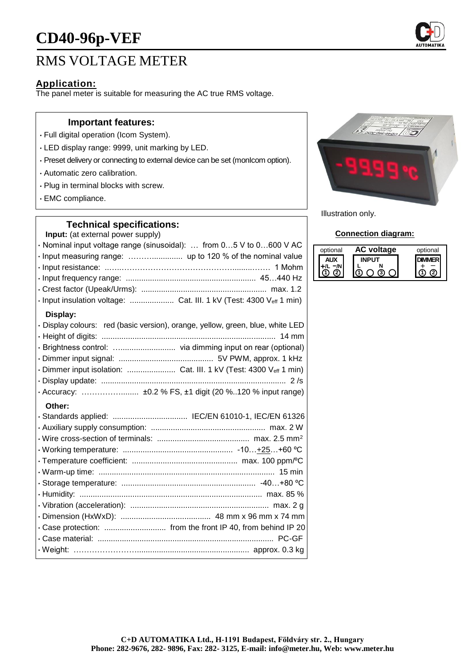# **CD40-96p-VEF**

## RMS VOLTAGE METER

### **Application:**

The panel meter is suitable for measuring the AC true RMS voltage.

### **Important features:**

- Full digital operation (Icom System).
- LED display range: 9999, unit marking by LED.
- Preset delivery or connecting to external device can be set (monIcom option).
- Automatic zero calibration.
- Plug in terminal blocks with screw.
- EMC compliance.

### **Technical specifications:**

**Input:** (at external power supply)

| · Nominal input voltage range (sinusoidal):  from 05 V to 0600 V AC            |
|--------------------------------------------------------------------------------|
|                                                                                |
| · Input measuring range:  up to 120 % of the nominal value                     |
|                                                                                |
|                                                                                |
|                                                                                |
| · Input insulation voltage:  Cat. III. 1 kV (Test: 4300 Veff 1 min)            |
| Display:                                                                       |
| · Display colours: red (basic version), orange, yellow, green, blue, white LED |
|                                                                                |
| · Brightness control:  via dimming input on rear (optional)                    |
|                                                                                |
| · Dimmer input isolation:  Cat. III. 1 kV (Test: 4300 Veff 1 min)              |
|                                                                                |
|                                                                                |
| · Accuracy:  ±0.2 % FS, ±1 digit (20 %120 % input range)                       |
| Other:                                                                         |
| · Standards applied:  IEC/EN 61010-1, IEC/EN 61326                             |
|                                                                                |
|                                                                                |
|                                                                                |
|                                                                                |
|                                                                                |
|                                                                                |
|                                                                                |
|                                                                                |

• Dimension (HxWxD): ......................................... 48 mm x 96 mm x 74 mm • Case protection: ............................ from the front IP 40, from behind IP 20 • Case material: ................................................................................ PC-GF • Weight: ……………………................................................... approx. 0.3 kg



Illustration only.

#### **Connection diagram:**

| optional | voltage | optional |
|----------|---------|----------|
|          |         |          |